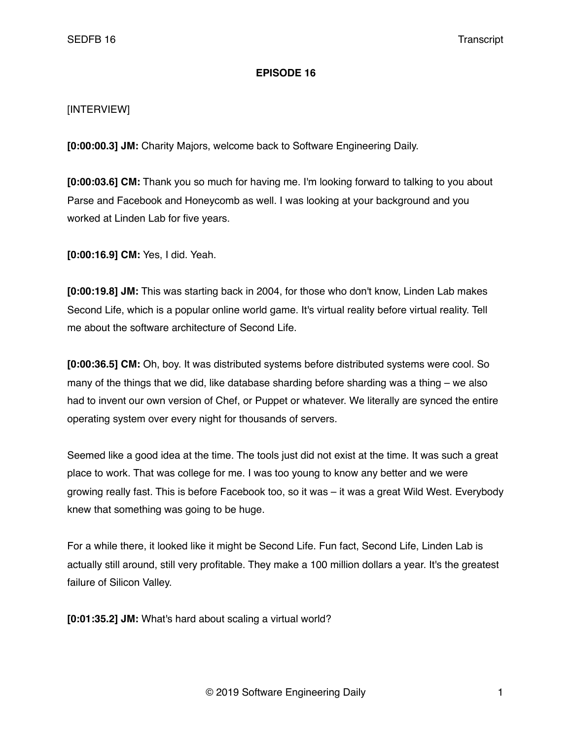## **EPISODE 16**

## [INTERVIEW]

**[0:00:00.3] JM:** Charity Majors, welcome back to Software Engineering Daily.

**[0:00:03.6] CM:** Thank you so much for having me. I'm looking forward to talking to you about Parse and Facebook and Honeycomb as well. I was looking at your background and you worked at Linden Lab for five years.

**[0:00:16.9] CM:** Yes, I did. Yeah.

**[0:00:19.8] JM:** This was starting back in 2004, for those who don't know, Linden Lab makes Second Life, which is a popular online world game. It's virtual reality before virtual reality. Tell me about the software architecture of Second Life.

**[0:00:36.5] CM:** Oh, boy. It was distributed systems before distributed systems were cool. So many of the things that we did, like database sharding before sharding was a thing – we also had to invent our own version of Chef, or Puppet or whatever. We literally are synced the entire operating system over every night for thousands of servers.

Seemed like a good idea at the time. The tools just did not exist at the time. It was such a great place to work. That was college for me. I was too young to know any better and we were growing really fast. This is before Facebook too, so it was – it was a great Wild West. Everybody knew that something was going to be huge.

For a while there, it looked like it might be Second Life. Fun fact, Second Life, Linden Lab is actually still around, still very profitable. They make a 100 million dollars a year. It's the greatest failure of Silicon Valley.

**[0:01:35.2] JM:** What's hard about scaling a virtual world?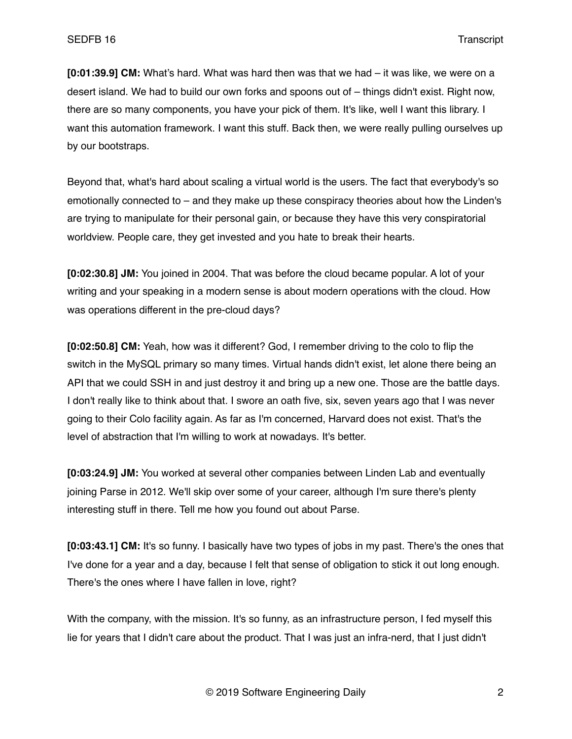**[0:01:39.9] CM:** What's hard. What was hard then was that we had – it was like, we were on a desert island. We had to build our own forks and spoons out of – things didn't exist. Right now, there are so many components, you have your pick of them. It's like, well I want this library. I want this automation framework. I want this stuff. Back then, we were really pulling ourselves up by our bootstraps.

Beyond that, what's hard about scaling a virtual world is the users. The fact that everybody's so emotionally connected to – and they make up these conspiracy theories about how the Linden's are trying to manipulate for their personal gain, or because they have this very conspiratorial worldview. People care, they get invested and you hate to break their hearts.

**[0:02:30.8] JM:** You joined in 2004. That was before the cloud became popular. A lot of your writing and your speaking in a modern sense is about modern operations with the cloud. How was operations different in the pre-cloud days?

**[0:02:50.8] CM:** Yeah, how was it different? God, I remember driving to the colo to flip the switch in the MySQL primary so many times. Virtual hands didn't exist, let alone there being an API that we could SSH in and just destroy it and bring up a new one. Those are the battle days. I don't really like to think about that. I swore an oath five, six, seven years ago that I was never going to their Colo facility again. As far as I'm concerned, Harvard does not exist. That's the level of abstraction that I'm willing to work at nowadays. It's better.

**[0:03:24.9] JM:** You worked at several other companies between Linden Lab and eventually joining Parse in 2012. We'll skip over some of your career, although I'm sure there's plenty interesting stuff in there. Tell me how you found out about Parse.

**[0:03:43.1] CM:** It's so funny. I basically have two types of jobs in my past. There's the ones that I've done for a year and a day, because I felt that sense of obligation to stick it out long enough. There's the ones where I have fallen in love, right?

With the company, with the mission. It's so funny, as an infrastructure person, I fed myself this lie for years that I didn't care about the product. That I was just an infra-nerd, that I just didn't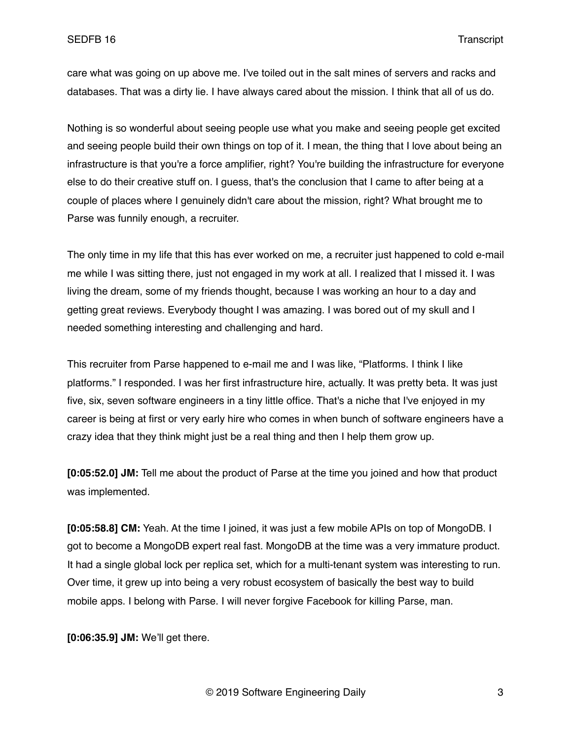care what was going on up above me. I've toiled out in the salt mines of servers and racks and databases. That was a dirty lie. I have always cared about the mission. I think that all of us do.

Nothing is so wonderful about seeing people use what you make and seeing people get excited and seeing people build their own things on top of it. I mean, the thing that I love about being an infrastructure is that you're a force amplifier, right? You're building the infrastructure for everyone else to do their creative stuff on. I guess, that's the conclusion that I came to after being at a couple of places where I genuinely didn't care about the mission, right? What brought me to Parse was funnily enough, a recruiter.

The only time in my life that this has ever worked on me, a recruiter just happened to cold e-mail me while I was sitting there, just not engaged in my work at all. I realized that I missed it. I was living the dream, some of my friends thought, because I was working an hour to a day and getting great reviews. Everybody thought I was amazing. I was bored out of my skull and I needed something interesting and challenging and hard.

This recruiter from Parse happened to e-mail me and I was like, "Platforms. I think I like platforms." I responded. I was her first infrastructure hire, actually. It was pretty beta. It was just five, six, seven software engineers in a tiny little office. That's a niche that I've enjoyed in my career is being at first or very early hire who comes in when bunch of software engineers have a crazy idea that they think might just be a real thing and then I help them grow up.

**[0:05:52.0] JM:** Tell me about the product of Parse at the time you joined and how that product was implemented.

**[0:05:58.8] CM:** Yeah. At the time I joined, it was just a few mobile APIs on top of MongoDB. I got to become a MongoDB expert real fast. MongoDB at the time was a very immature product. It had a single global lock per replica set, which for a multi-tenant system was interesting to run. Over time, it grew up into being a very robust ecosystem of basically the best way to build mobile apps. I belong with Parse. I will never forgive Facebook for killing Parse, man.

**[0:06:35.9] JM:** We'll get there.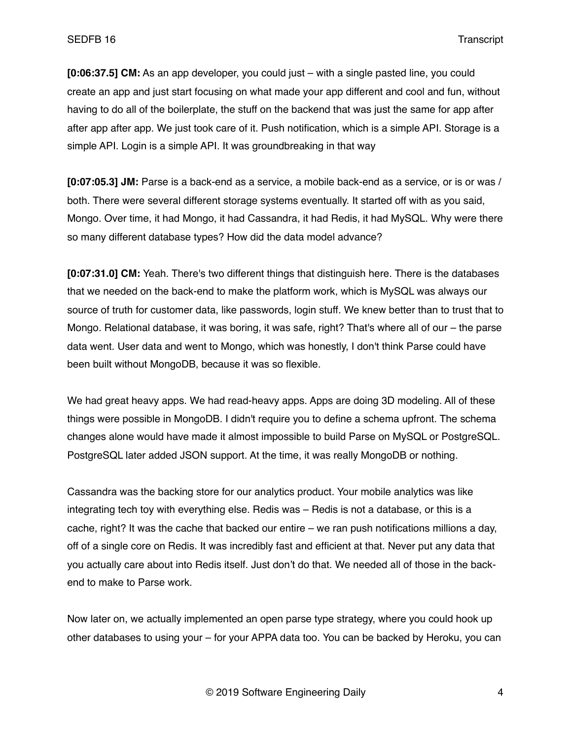**[0:06:37.5] CM:** As an app developer, you could just – with a single pasted line, you could create an app and just start focusing on what made your app different and cool and fun, without having to do all of the boilerplate, the stuff on the backend that was just the same for app after after app after app. We just took care of it. Push notification, which is a simple API. Storage is a simple API. Login is a simple API. It was groundbreaking in that way

**[0:07:05.3] JM:** Parse is a back-end as a service, a mobile back-end as a service, or is or was / both. There were several different storage systems eventually. It started off with as you said, Mongo. Over time, it had Mongo, it had Cassandra, it had Redis, it had MySQL. Why were there so many different database types? How did the data model advance?

**[0:07:31.0] CM:** Yeah. There's two different things that distinguish here. There is the databases that we needed on the back-end to make the platform work, which is MySQL was always our source of truth for customer data, like passwords, login stuff. We knew better than to trust that to Mongo. Relational database, it was boring, it was safe, right? That's where all of our – the parse data went. User data and went to Mongo, which was honestly, I don't think Parse could have been built without MongoDB, because it was so flexible.

We had great heavy apps. We had read-heavy apps. Apps are doing 3D modeling. All of these things were possible in MongoDB. I didn't require you to define a schema upfront. The schema changes alone would have made it almost impossible to build Parse on MySQL or PostgreSQL. PostgreSQL later added JSON support. At the time, it was really MongoDB or nothing.

Cassandra was the backing store for our analytics product. Your mobile analytics was like integrating tech toy with everything else. Redis was – Redis is not a database, or this is a cache, right? It was the cache that backed our entire – we ran push notifications millions a day, off of a single core on Redis. It was incredibly fast and efficient at that. Never put any data that you actually care about into Redis itself. Just don't do that. We needed all of those in the backend to make to Parse work.

Now later on, we actually implemented an open parse type strategy, where you could hook up other databases to using your – for your APPA data too. You can be backed by Heroku, you can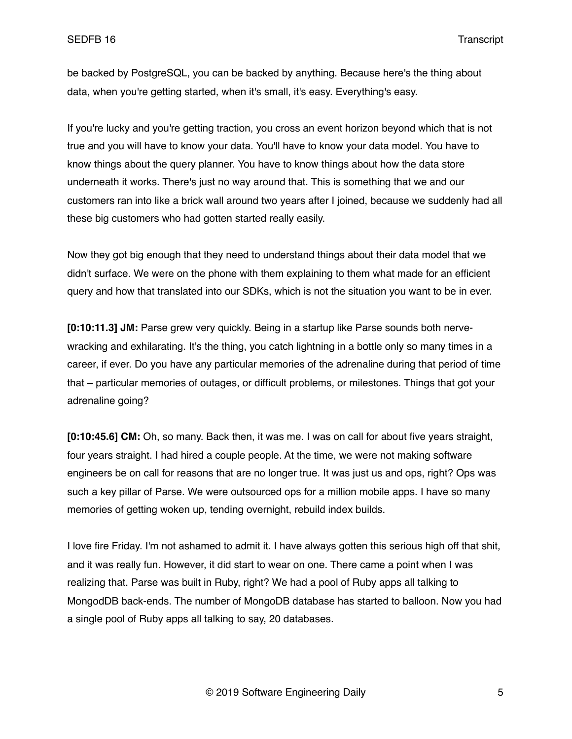be backed by PostgreSQL, you can be backed by anything. Because here's the thing about data, when you're getting started, when it's small, it's easy. Everything's easy.

If you're lucky and you're getting traction, you cross an event horizon beyond which that is not true and you will have to know your data. You'll have to know your data model. You have to know things about the query planner. You have to know things about how the data store underneath it works. There's just no way around that. This is something that we and our customers ran into like a brick wall around two years after I joined, because we suddenly had all these big customers who had gotten started really easily.

Now they got big enough that they need to understand things about their data model that we didn't surface. We were on the phone with them explaining to them what made for an efficient query and how that translated into our SDKs, which is not the situation you want to be in ever.

**[0:10:11.3] JM:** Parse grew very quickly. Being in a startup like Parse sounds both nervewracking and exhilarating. It's the thing, you catch lightning in a bottle only so many times in a career, if ever. Do you have any particular memories of the adrenaline during that period of time that – particular memories of outages, or difficult problems, or milestones. Things that got your adrenaline going?

**[0:10:45.6] CM:** Oh, so many. Back then, it was me. I was on call for about five years straight, four years straight. I had hired a couple people. At the time, we were not making software engineers be on call for reasons that are no longer true. It was just us and ops, right? Ops was such a key pillar of Parse. We were outsourced ops for a million mobile apps. I have so many memories of getting woken up, tending overnight, rebuild index builds.

I love fire Friday. I'm not ashamed to admit it. I have always gotten this serious high off that shit, and it was really fun. However, it did start to wear on one. There came a point when I was realizing that. Parse was built in Ruby, right? We had a pool of Ruby apps all talking to MongodDB back-ends. The number of MongoDB database has started to balloon. Now you had a single pool of Ruby apps all talking to say, 20 databases.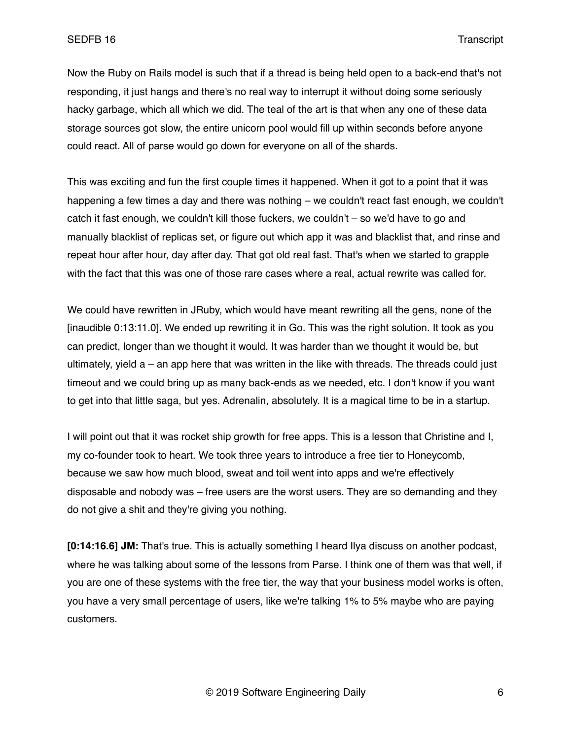Now the Ruby on Rails model is such that if a thread is being held open to a back-end that's not responding, it just hangs and there's no real way to interrupt it without doing some seriously hacky garbage, which all which we did. The teal of the art is that when any one of these data storage sources got slow, the entire unicorn pool would fill up within seconds before anyone could react. All of parse would go down for everyone on all of the shards.

This was exciting and fun the first couple times it happened. When it got to a point that it was happening a few times a day and there was nothing – we couldn't react fast enough, we couldn't catch it fast enough, we couldn't kill those fuckers, we couldn't – so we'd have to go and manually blacklist of replicas set, or figure out which app it was and blacklist that, and rinse and repeat hour after hour, day after day. That got old real fast. That's when we started to grapple with the fact that this was one of those rare cases where a real, actual rewrite was called for.

We could have rewritten in JRuby, which would have meant rewriting all the gens, none of the [inaudible 0:13:11.0]. We ended up rewriting it in Go. This was the right solution. It took as you can predict, longer than we thought it would. It was harder than we thought it would be, but ultimately, yield a – an app here that was written in the like with threads. The threads could just timeout and we could bring up as many back-ends as we needed, etc. I don't know if you want to get into that little saga, but yes. Adrenalin, absolutely. It is a magical time to be in a startup.

I will point out that it was rocket ship growth for free apps. This is a lesson that Christine and I, my co-founder took to heart. We took three years to introduce a free tier to Honeycomb, because we saw how much blood, sweat and toil went into apps and we're effectively disposable and nobody was – free users are the worst users. They are so demanding and they do not give a shit and they're giving you nothing.

**[0:14:16.6] JM:** That's true. This is actually something I heard Ilya discuss on another podcast, where he was talking about some of the lessons from Parse. I think one of them was that well, if you are one of these systems with the free tier, the way that your business model works is often, you have a very small percentage of users, like we're talking 1% to 5% maybe who are paying customers.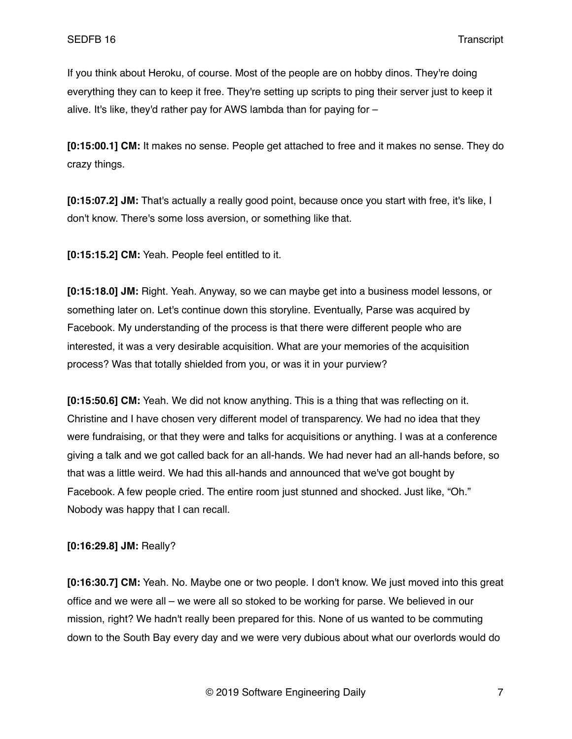If you think about Heroku, of course. Most of the people are on hobby dinos. They're doing everything they can to keep it free. They're setting up scripts to ping their server just to keep it alive. It's like, they'd rather pay for AWS lambda than for paying for –

**[0:15:00.1] CM:** It makes no sense. People get attached to free and it makes no sense. They do crazy things.

**[0:15:07.2] JM:** That's actually a really good point, because once you start with free, it's like, I don't know. There's some loss aversion, or something like that.

**[0:15:15.2] CM:** Yeah. People feel entitled to it.

**[0:15:18.0] JM:** Right. Yeah. Anyway, so we can maybe get into a business model lessons, or something later on. Let's continue down this storyline. Eventually, Parse was acquired by Facebook. My understanding of the process is that there were different people who are interested, it was a very desirable acquisition. What are your memories of the acquisition process? Was that totally shielded from you, or was it in your purview?

**[0:15:50.6] CM:** Yeah. We did not know anything. This is a thing that was reflecting on it. Christine and I have chosen very different model of transparency. We had no idea that they were fundraising, or that they were and talks for acquisitions or anything. I was at a conference giving a talk and we got called back for an all-hands. We had never had an all-hands before, so that was a little weird. We had this all-hands and announced that we've got bought by Facebook. A few people cried. The entire room just stunned and shocked. Just like, "Oh." Nobody was happy that I can recall.

## **[0:16:29.8] JM:** Really?

**[0:16:30.7] CM:** Yeah. No. Maybe one or two people. I don't know. We just moved into this great office and we were all – we were all so stoked to be working for parse. We believed in our mission, right? We hadn't really been prepared for this. None of us wanted to be commuting down to the South Bay every day and we were very dubious about what our overlords would do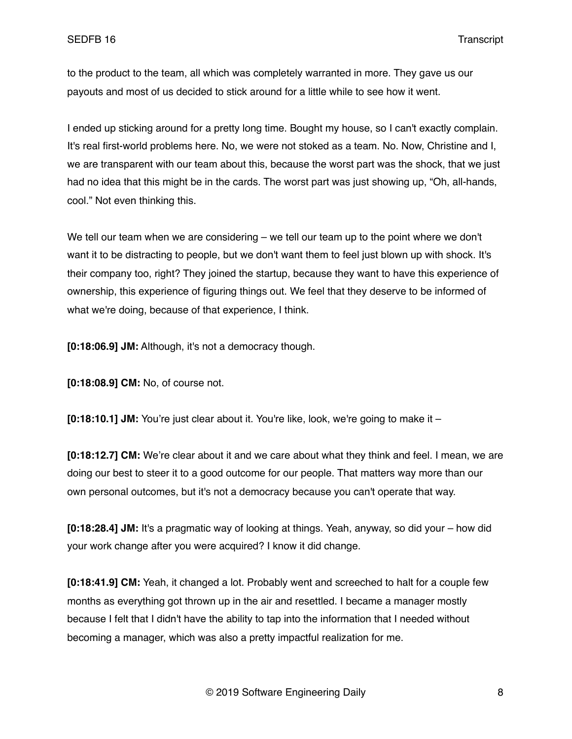to the product to the team, all which was completely warranted in more. They gave us our payouts and most of us decided to stick around for a little while to see how it went.

I ended up sticking around for a pretty long time. Bought my house, so I can't exactly complain. It's real first-world problems here. No, we were not stoked as a team. No. Now, Christine and I, we are transparent with our team about this, because the worst part was the shock, that we just had no idea that this might be in the cards. The worst part was just showing up, "Oh, all-hands, cool." Not even thinking this.

We tell our team when we are considering – we tell our team up to the point where we don't want it to be distracting to people, but we don't want them to feel just blown up with shock. It's their company too, right? They joined the startup, because they want to have this experience of ownership, this experience of figuring things out. We feel that they deserve to be informed of what we're doing, because of that experience, I think.

**[0:18:06.9] JM:** Although, it's not a democracy though.

**[0:18:08.9] CM:** No, of course not.

**[0:18:10.1] JM:** You're just clear about it. You're like, look, we're going to make it –

**[0:18:12.7] CM:** We're clear about it and we care about what they think and feel. I mean, we are doing our best to steer it to a good outcome for our people. That matters way more than our own personal outcomes, but it's not a democracy because you can't operate that way.

**[0:18:28.4] JM:** It's a pragmatic way of looking at things. Yeah, anyway, so did your – how did your work change after you were acquired? I know it did change.

**[0:18:41.9] CM:** Yeah, it changed a lot. Probably went and screeched to halt for a couple few months as everything got thrown up in the air and resettled. I became a manager mostly because I felt that I didn't have the ability to tap into the information that I needed without becoming a manager, which was also a pretty impactful realization for me.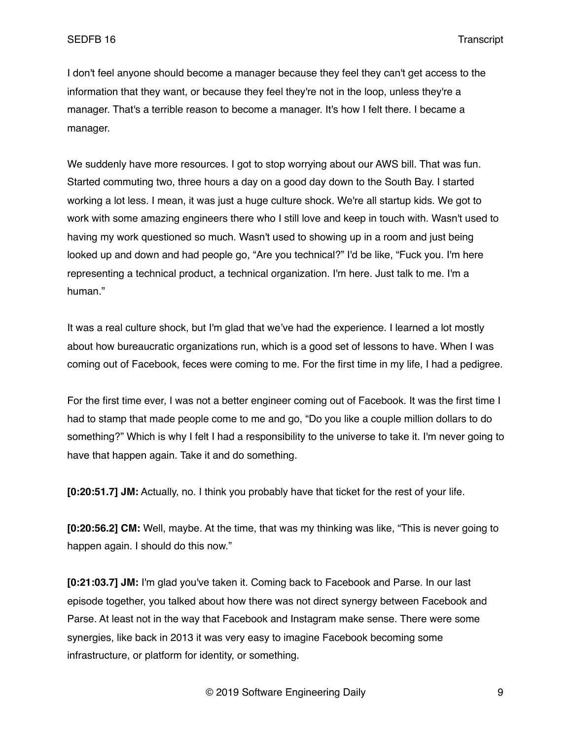I don't feel anyone should become a manager because they feel they can't get access to the information that they want, or because they feel they're not in the loop, unless they're a manager. That's a terrible reason to become a manager. It's how I felt there. I became a manager.

We suddenly have more resources. I got to stop worrying about our AWS bill. That was fun. Started commuting two, three hours a day on a good day down to the South Bay. I started working a lot less. I mean, it was just a huge culture shock. We're all startup kids. We got to work with some amazing engineers there who I still love and keep in touch with. Wasn't used to having my work questioned so much. Wasn't used to showing up in a room and just being looked up and down and had people go, "Are you technical?" I'd be like, "Fuck you. I'm here representing a technical product, a technical organization. I'm here. Just talk to me. I'm a human."

It was a real culture shock, but I'm glad that we've had the experience. I learned a lot mostly about how bureaucratic organizations run, which is a good set of lessons to have. When I was coming out of Facebook, feces were coming to me. For the first time in my life, I had a pedigree.

For the first time ever, I was not a better engineer coming out of Facebook. It was the first time I had to stamp that made people come to me and go, "Do you like a couple million dollars to do something?" Which is why I felt I had a responsibility to the universe to take it. I'm never going to have that happen again. Take it and do something.

**[0:20:51.7] JM:** Actually, no. I think you probably have that ticket for the rest of your life.

**[0:20:56.2] CM:** Well, maybe. At the time, that was my thinking was like, "This is never going to happen again. I should do this now."

**[0:21:03.7] JM:** I'm glad you've taken it. Coming back to Facebook and Parse. In our last episode together, you talked about how there was not direct synergy between Facebook and Parse. At least not in the way that Facebook and Instagram make sense. There were some synergies, like back in 2013 it was very easy to imagine Facebook becoming some infrastructure, or platform for identity, or something.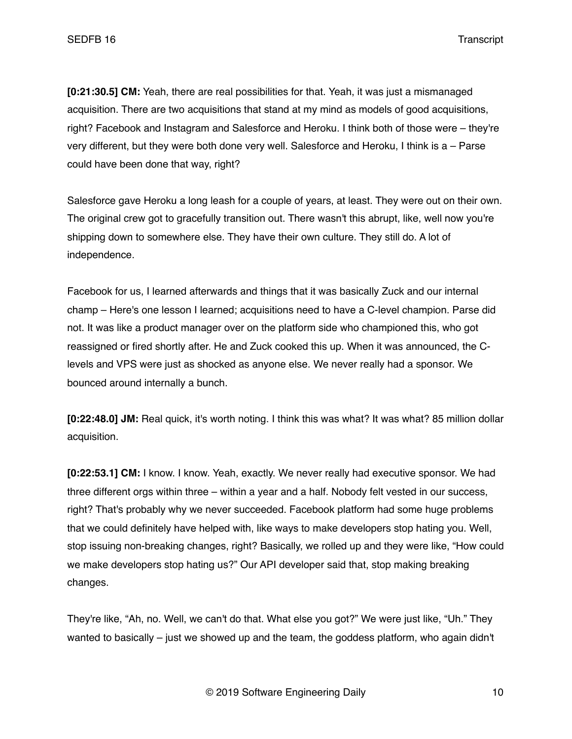**[0:21:30.5] CM:** Yeah, there are real possibilities for that. Yeah, it was just a mismanaged acquisition. There are two acquisitions that stand at my mind as models of good acquisitions, right? Facebook and Instagram and Salesforce and Heroku. I think both of those were – they're very different, but they were both done very well. Salesforce and Heroku, I think is a – Parse could have been done that way, right?

Salesforce gave Heroku a long leash for a couple of years, at least. They were out on their own. The original crew got to gracefully transition out. There wasn't this abrupt, like, well now you're shipping down to somewhere else. They have their own culture. They still do. A lot of independence.

Facebook for us, I learned afterwards and things that it was basically Zuck and our internal champ – Here's one lesson I learned; acquisitions need to have a C-level champion. Parse did not. It was like a product manager over on the platform side who championed this, who got reassigned or fired shortly after. He and Zuck cooked this up. When it was announced, the Clevels and VPS were just as shocked as anyone else. We never really had a sponsor. We bounced around internally a bunch.

**[0:22:48.0] JM:** Real quick, it's worth noting. I think this was what? It was what? 85 million dollar acquisition.

**[0:22:53.1] CM:** I know. I know. Yeah, exactly. We never really had executive sponsor. We had three different orgs within three – within a year and a half. Nobody felt vested in our success, right? That's probably why we never succeeded. Facebook platform had some huge problems that we could definitely have helped with, like ways to make developers stop hating you. Well, stop issuing non-breaking changes, right? Basically, we rolled up and they were like, "How could we make developers stop hating us?" Our API developer said that, stop making breaking changes.

They're like, "Ah, no. Well, we can't do that. What else you got?" We were just like, "Uh." They wanted to basically – just we showed up and the team, the goddess platform, who again didn't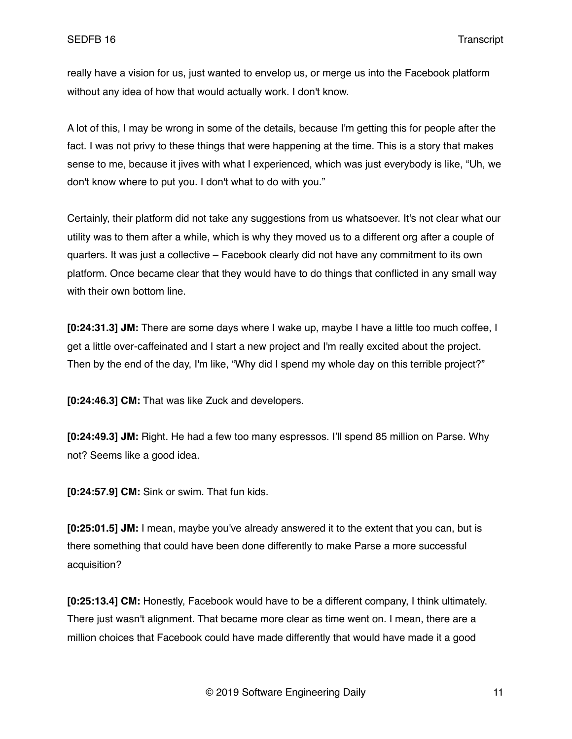really have a vision for us, just wanted to envelop us, or merge us into the Facebook platform without any idea of how that would actually work. I don't know.

A lot of this, I may be wrong in some of the details, because I'm getting this for people after the fact. I was not privy to these things that were happening at the time. This is a story that makes sense to me, because it jives with what I experienced, which was just everybody is like, "Uh, we don't know where to put you. I don't what to do with you."

Certainly, their platform did not take any suggestions from us whatsoever. It's not clear what our utility was to them after a while, which is why they moved us to a different org after a couple of quarters. It was just a collective – Facebook clearly did not have any commitment to its own platform. Once became clear that they would have to do things that conflicted in any small way with their own bottom line.

**[0:24:31.3] JM:** There are some days where I wake up, maybe I have a little too much coffee, I get a little over-caffeinated and I start a new project and I'm really excited about the project. Then by the end of the day, I'm like, "Why did I spend my whole day on this terrible project?"

**[0:24:46.3] CM:** That was like Zuck and developers.

**[0:24:49.3] JM:** Right. He had a few too many espressos. I'll spend 85 million on Parse. Why not? Seems like a good idea.

**[0:24:57.9] CM:** Sink or swim. That fun kids.

**[0:25:01.5] JM:** I mean, maybe you've already answered it to the extent that you can, but is there something that could have been done differently to make Parse a more successful acquisition?

**[0:25:13.4] CM:** Honestly, Facebook would have to be a different company, I think ultimately. There just wasn't alignment. That became more clear as time went on. I mean, there are a million choices that Facebook could have made differently that would have made it a good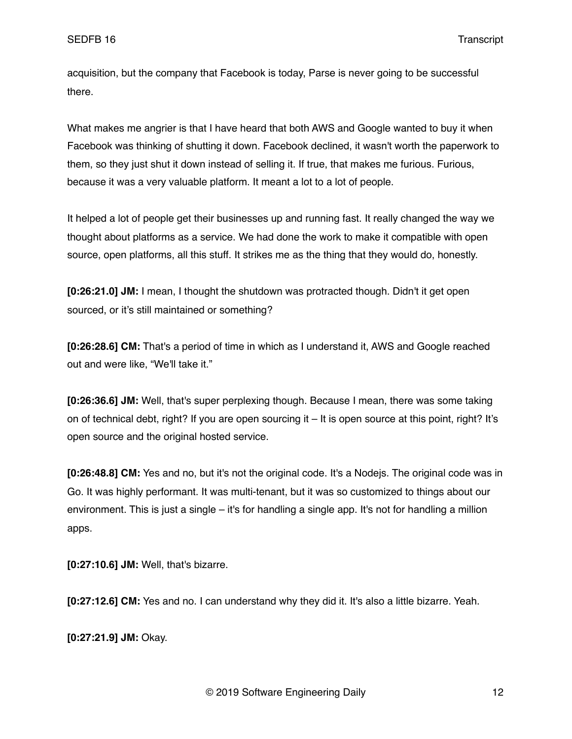acquisition, but the company that Facebook is today, Parse is never going to be successful there.

What makes me angrier is that I have heard that both AWS and Google wanted to buy it when Facebook was thinking of shutting it down. Facebook declined, it wasn't worth the paperwork to them, so they just shut it down instead of selling it. If true, that makes me furious. Furious, because it was a very valuable platform. It meant a lot to a lot of people.

It helped a lot of people get their businesses up and running fast. It really changed the way we thought about platforms as a service. We had done the work to make it compatible with open source, open platforms, all this stuff. It strikes me as the thing that they would do, honestly.

**[0:26:21.0] JM:** I mean, I thought the shutdown was protracted though. Didn't it get open sourced, or it's still maintained or something?

**[0:26:28.6] CM:** That's a period of time in which as I understand it, AWS and Google reached out and were like, "We'll take it."

**[0:26:36.6] JM:** Well, that's super perplexing though. Because I mean, there was some taking on of technical debt, right? If you are open sourcing it – It is open source at this point, right? It's open source and the original hosted service.

**[0:26:48.8] CM:** Yes and no, but it's not the original code. It's a Nodejs. The original code was in Go. It was highly performant. It was multi-tenant, but it was so customized to things about our environment. This is just a single – it's for handling a single app. It's not for handling a million apps.

**[0:27:10.6] JM:** Well, that's bizarre.

**[0:27:12.6] CM:** Yes and no. I can understand why they did it. It's also a little bizarre. Yeah.

**[0:27:21.9] JM:** Okay.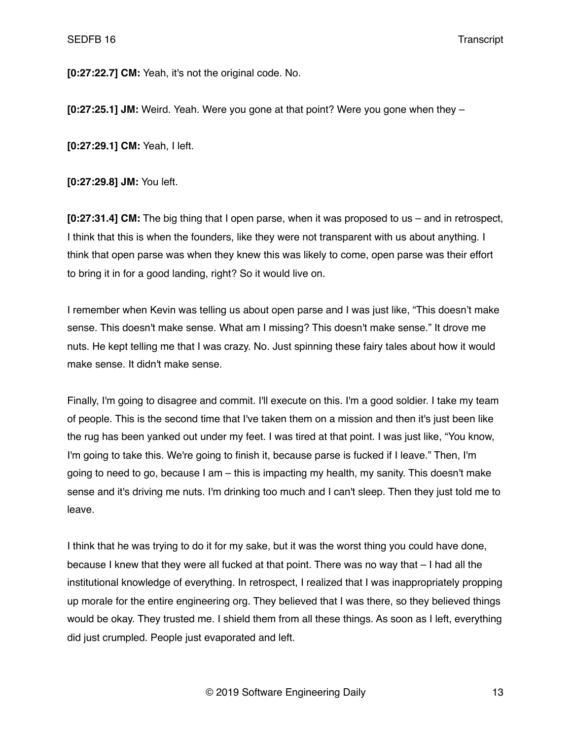**[0:27:22.7] CM:** Yeah, it's not the original code. No.

**[0:27:25.1] JM:** Weird. Yeah. Were you gone at that point? Were you gone when they –

**[0:27:29.1] CM:** Yeah, I left.

**[0:27:29.8] JM:** You left.

**[0:27:31.4] CM:** The big thing that I open parse, when it was proposed to us – and in retrospect, I think that this is when the founders, like they were not transparent with us about anything. I think that open parse was when they knew this was likely to come, open parse was their effort to bring it in for a good landing, right? So it would live on.

I remember when Kevin was telling us about open parse and I was just like, "This doesn't make sense. This doesn't make sense. What am I missing? This doesn't make sense." It drove me nuts. He kept telling me that I was crazy. No. Just spinning these fairy tales about how it would make sense. It didn't make sense.

Finally, I'm going to disagree and commit. I'll execute on this. I'm a good soldier. I take my team of people. This is the second time that I've taken them on a mission and then it's just been like the rug has been yanked out under my feet. I was tired at that point. I was just like, "You know, I'm going to take this. We're going to finish it, because parse is fucked if I leave." Then, I'm going to need to go, because I am – this is impacting my health, my sanity. This doesn't make sense and it's driving me nuts. I'm drinking too much and I can't sleep. Then they just told me to leave.

I think that he was trying to do it for my sake, but it was the worst thing you could have done, because I knew that they were all fucked at that point. There was no way that – I had all the institutional knowledge of everything. In retrospect, I realized that I was inappropriately propping up morale for the entire engineering org. They believed that I was there, so they believed things would be okay. They trusted me. I shield them from all these things. As soon as I left, everything did just crumpled. People just evaporated and left.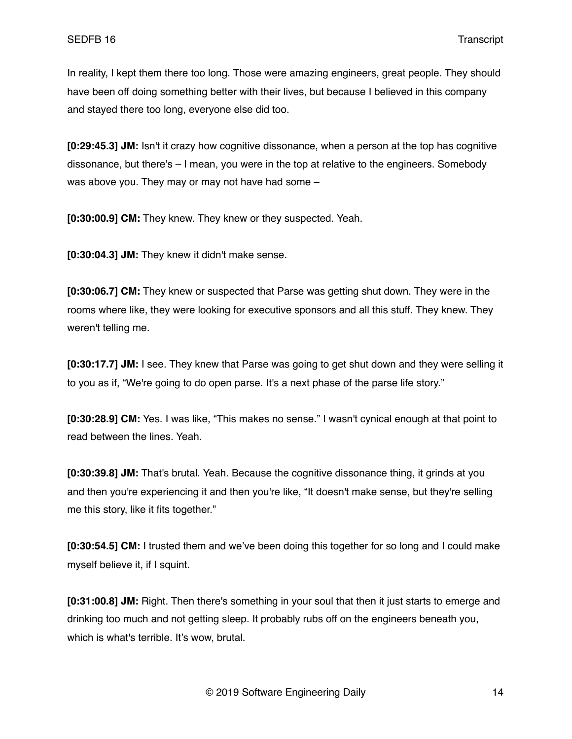In reality, I kept them there too long. Those were amazing engineers, great people. They should have been off doing something better with their lives, but because I believed in this company and stayed there too long, everyone else did too.

**[0:29:45.3] JM:** Isn't it crazy how cognitive dissonance, when a person at the top has cognitive dissonance, but there's – I mean, you were in the top at relative to the engineers. Somebody was above you. They may or may not have had some –

**[0:30:00.9] CM:** They knew. They knew or they suspected. Yeah.

**[0:30:04.3] JM:** They knew it didn't make sense.

**[0:30:06.7] CM:** They knew or suspected that Parse was getting shut down. They were in the rooms where like, they were looking for executive sponsors and all this stuff. They knew. They weren't telling me.

**[0:30:17.7] JM:** I see. They knew that Parse was going to get shut down and they were selling it to you as if, "We're going to do open parse. It's a next phase of the parse life story."

**[0:30:28.9] CM:** Yes. I was like, "This makes no sense." I wasn't cynical enough at that point to read between the lines. Yeah.

**[0:30:39.8] JM:** That's brutal. Yeah. Because the cognitive dissonance thing, it grinds at you and then you're experiencing it and then you're like, "It doesn't make sense, but they're selling me this story, like it fits together."

**[0:30:54.5] CM:** I trusted them and we've been doing this together for so long and I could make myself believe it, if I squint.

**[0:31:00.8] JM:** Right. Then there's something in your soul that then it just starts to emerge and drinking too much and not getting sleep. It probably rubs off on the engineers beneath you, which is what's terrible. It's wow, brutal.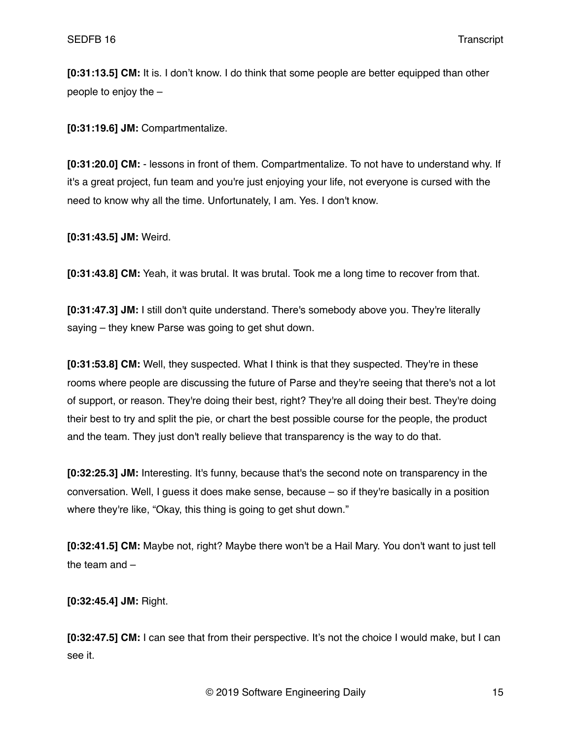**[0:31:13.5] CM:** It is. I don't know. I do think that some people are better equipped than other people to enjoy the –

**[0:31:19.6] JM:** Compartmentalize.

**[0:31:20.0] CM:** - lessons in front of them. Compartmentalize. To not have to understand why. If it's a great project, fun team and you're just enjoying your life, not everyone is cursed with the need to know why all the time. Unfortunately, I am. Yes. I don't know.

**[0:31:43.5] JM:** Weird.

**[0:31:43.8] CM:** Yeah, it was brutal. It was brutal. Took me a long time to recover from that.

**[0:31:47.3] JM:** I still don't quite understand. There's somebody above you. They're literally saying – they knew Parse was going to get shut down.

**[0:31:53.8] CM:** Well, they suspected. What I think is that they suspected. They're in these rooms where people are discussing the future of Parse and they're seeing that there's not a lot of support, or reason. They're doing their best, right? They're all doing their best. They're doing their best to try and split the pie, or chart the best possible course for the people, the product and the team. They just don't really believe that transparency is the way to do that.

**[0:32:25.3] JM:** Interesting. It's funny, because that's the second note on transparency in the conversation. Well, I guess it does make sense, because – so if they're basically in a position where they're like, "Okay, this thing is going to get shut down."

**[0:32:41.5] CM:** Maybe not, right? Maybe there won't be a Hail Mary. You don't want to just tell the team and –

**[0:32:45.4] JM:** Right.

**[0:32:47.5] CM:** I can see that from their perspective. It's not the choice I would make, but I can see it.

© 2019 Software Engineering Daily 15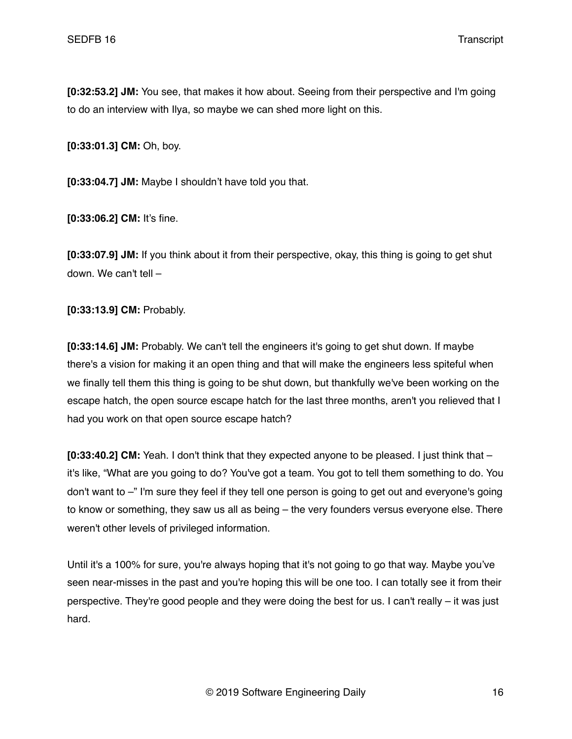**[0:32:53.2] JM:** You see, that makes it how about. Seeing from their perspective and I'm going to do an interview with Ilya, so maybe we can shed more light on this.

**[0:33:01.3] CM:** Oh, boy.

**[0:33:04.7] JM:** Maybe I shouldn't have told you that.

**[0:33:06.2] CM:** It's fine.

**[0:33:07.9] JM:** If you think about it from their perspective, okay, this thing is going to get shut down. We can't tell –

**[0:33:13.9] CM:** Probably.

**[0:33:14.6] JM:** Probably. We can't tell the engineers it's going to get shut down. If maybe there's a vision for making it an open thing and that will make the engineers less spiteful when we finally tell them this thing is going to be shut down, but thankfully we've been working on the escape hatch, the open source escape hatch for the last three months, aren't you relieved that I had you work on that open source escape hatch?

**[0:33:40.2] CM:** Yeah. I don't think that they expected anyone to be pleased. I just think that – it's like, "What are you going to do? You've got a team. You got to tell them something to do. You don't want to –" I'm sure they feel if they tell one person is going to get out and everyone's going to know or something, they saw us all as being – the very founders versus everyone else. There weren't other levels of privileged information.

Until it's a 100% for sure, you're always hoping that it's not going to go that way. Maybe you've seen near-misses in the past and you're hoping this will be one too. I can totally see it from their perspective. They're good people and they were doing the best for us. I can't really  $-$  it was just hard.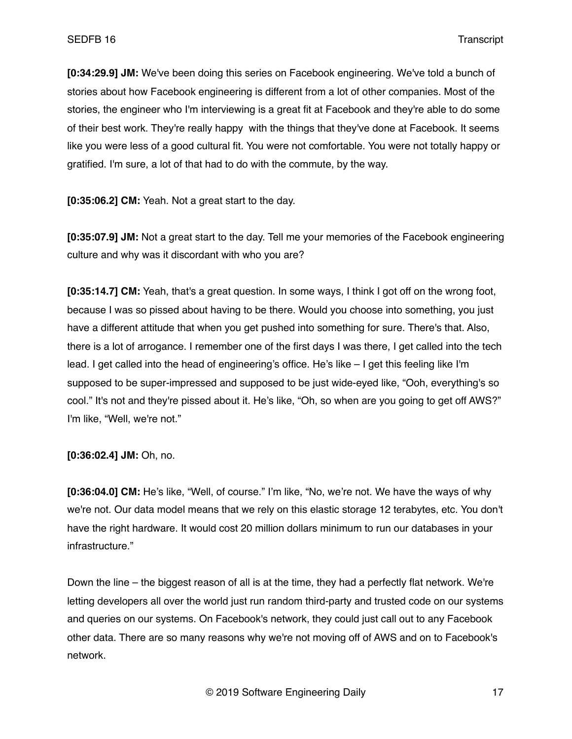**[0:34:29.9] JM:** We've been doing this series on Facebook engineering. We've told a bunch of stories about how Facebook engineering is different from a lot of other companies. Most of the stories, the engineer who I'm interviewing is a great fit at Facebook and they're able to do some of their best work. They're really happy with the things that they've done at Facebook. It seems like you were less of a good cultural fit. You were not comfortable. You were not totally happy or gratified. I'm sure, a lot of that had to do with the commute, by the way.

**[0:35:06.2] CM:** Yeah. Not a great start to the day.

**[0:35:07.9] JM:** Not a great start to the day. Tell me your memories of the Facebook engineering culture and why was it discordant with who you are?

**[0:35:14.7] CM:** Yeah, that's a great question. In some ways, I think I got off on the wrong foot, because I was so pissed about having to be there. Would you choose into something, you just have a different attitude that when you get pushed into something for sure. There's that. Also, there is a lot of arrogance. I remember one of the first days I was there, I get called into the tech lead. I get called into the head of engineering's office. He's like – I get this feeling like I'm supposed to be super-impressed and supposed to be just wide-eyed like, "Ooh, everything's so cool." It's not and they're pissed about it. He's like, "Oh, so when are you going to get off AWS?" I'm like, "Well, we're not."

**[0:36:02.4] JM:** Oh, no.

**[0:36:04.0] CM:** He's like, "Well, of course." I'm like, "No, we're not. We have the ways of why we're not. Our data model means that we rely on this elastic storage 12 terabytes, etc. You don't have the right hardware. It would cost 20 million dollars minimum to run our databases in your infrastructure."

Down the line – the biggest reason of all is at the time, they had a perfectly flat network. We're letting developers all over the world just run random third-party and trusted code on our systems and queries on our systems. On Facebook's network, they could just call out to any Facebook other data. There are so many reasons why we're not moving off of AWS and on to Facebook's network.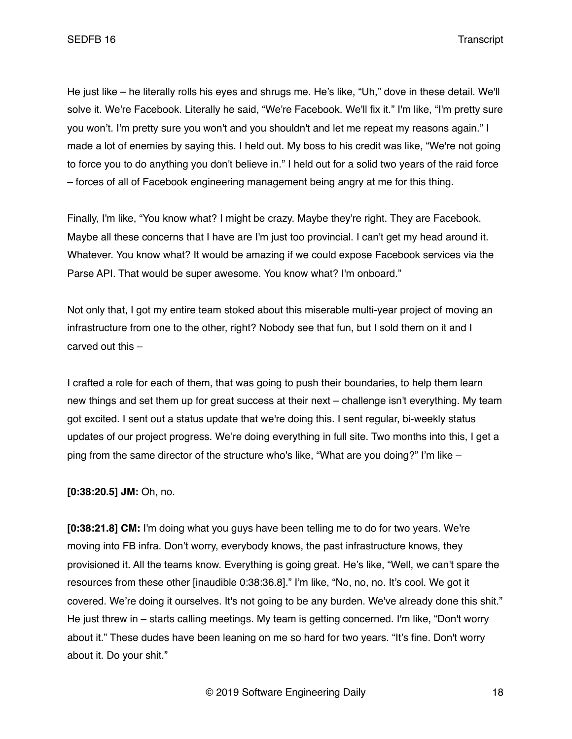He just like – he literally rolls his eyes and shrugs me. He's like, "Uh," dove in these detail. We'll solve it. We're Facebook. Literally he said, "We're Facebook. We'll fix it." I'm like, "I'm pretty sure you won't. I'm pretty sure you won't and you shouldn't and let me repeat my reasons again." I made a lot of enemies by saying this. I held out. My boss to his credit was like, "We're not going to force you to do anything you don't believe in." I held out for a solid two years of the raid force – forces of all of Facebook engineering management being angry at me for this thing.

Finally, I'm like, "You know what? I might be crazy. Maybe they're right. They are Facebook. Maybe all these concerns that I have are I'm just too provincial. I can't get my head around it. Whatever. You know what? It would be amazing if we could expose Facebook services via the Parse API. That would be super awesome. You know what? I'm onboard."

Not only that, I got my entire team stoked about this miserable multi-year project of moving an infrastructure from one to the other, right? Nobody see that fun, but I sold them on it and I carved out this –

I crafted a role for each of them, that was going to push their boundaries, to help them learn new things and set them up for great success at their next – challenge isn't everything. My team got excited. I sent out a status update that we're doing this. I sent regular, bi-weekly status updates of our project progress. We're doing everything in full site. Two months into this, I get a ping from the same director of the structure who's like, "What are you doing?" I'm like –

**[0:38:20.5] JM:** Oh, no.

**[0:38:21.8] CM:** I'm doing what you guys have been telling me to do for two years. We're moving into FB infra. Don't worry, everybody knows, the past infrastructure knows, they provisioned it. All the teams know. Everything is going great. He's like, "Well, we can't spare the resources from these other [inaudible 0:38:36.8]." I'm like, "No, no, no. It's cool. We got it covered. We're doing it ourselves. It's not going to be any burden. We've already done this shit." He just threw in – starts calling meetings. My team is getting concerned. I'm like, "Don't worry about it." These dudes have been leaning on me so hard for two years. "It's fine. Don't worry about it. Do your shit."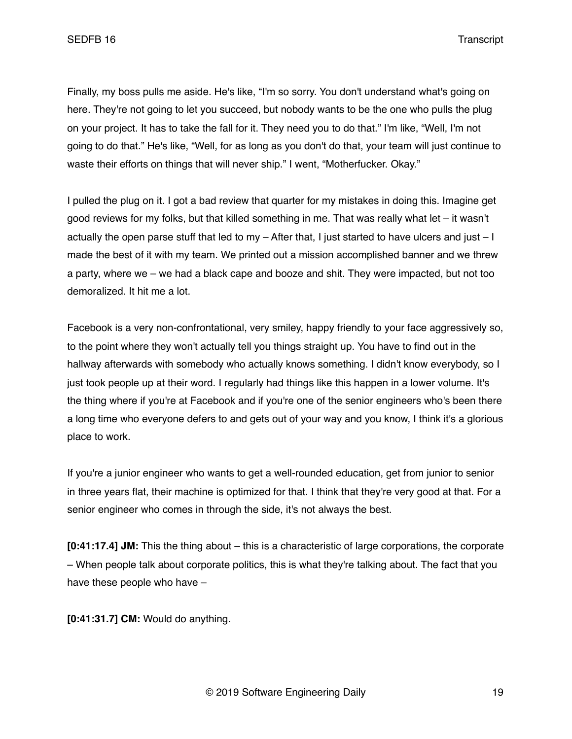Finally, my boss pulls me aside. He's like, "I'm so sorry. You don't understand what's going on here. They're not going to let you succeed, but nobody wants to be the one who pulls the plug on your project. It has to take the fall for it. They need you to do that." I'm like, "Well, I'm not going to do that." He's like, "Well, for as long as you don't do that, your team will just continue to waste their efforts on things that will never ship." I went, "Motherfucker. Okay."

I pulled the plug on it. I got a bad review that quarter for my mistakes in doing this. Imagine get good reviews for my folks, but that killed something in me. That was really what let – it wasn't actually the open parse stuff that led to my  $-$  After that, I just started to have ulcers and just  $-1$ made the best of it with my team. We printed out a mission accomplished banner and we threw a party, where we – we had a black cape and booze and shit. They were impacted, but not too demoralized. It hit me a lot.

Facebook is a very non-confrontational, very smiley, happy friendly to your face aggressively so, to the point where they won't actually tell you things straight up. You have to find out in the hallway afterwards with somebody who actually knows something. I didn't know everybody, so I just took people up at their word. I regularly had things like this happen in a lower volume. It's the thing where if you're at Facebook and if you're one of the senior engineers who's been there a long time who everyone defers to and gets out of your way and you know, I think it's a glorious place to work.

If you're a junior engineer who wants to get a well-rounded education, get from junior to senior in three years flat, their machine is optimized for that. I think that they're very good at that. For a senior engineer who comes in through the side, it's not always the best.

**[0:41:17.4] JM:** This the thing about – this is a characteristic of large corporations, the corporate – When people talk about corporate politics, this is what they're talking about. The fact that you have these people who have –

**[0:41:31.7] CM:** Would do anything.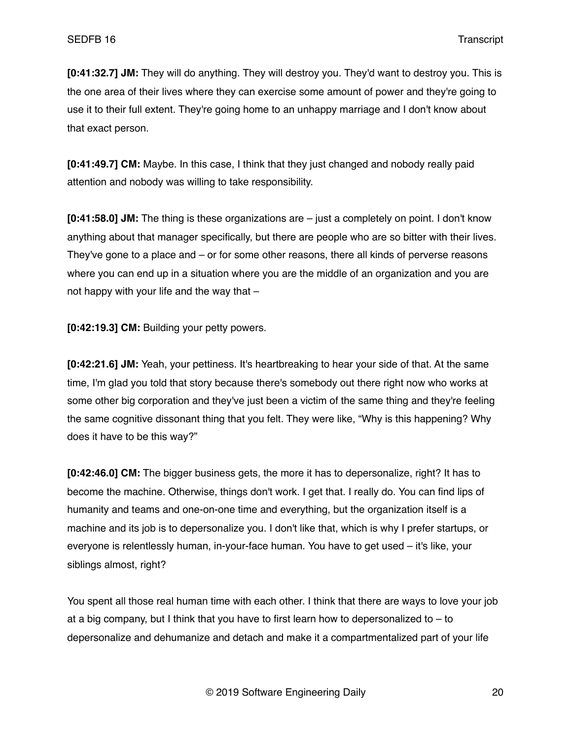**[0:41:32.7] JM:** They will do anything. They will destroy you. They'd want to destroy you. This is the one area of their lives where they can exercise some amount of power and they're going to use it to their full extent. They're going home to an unhappy marriage and I don't know about that exact person.

**[0:41:49.7] CM:** Maybe. In this case, I think that they just changed and nobody really paid attention and nobody was willing to take responsibility.

**[0:41:58.0] JM:** The thing is these organizations are – just a completely on point. I don't know anything about that manager specifically, but there are people who are so bitter with their lives. They've gone to a place and – or for some other reasons, there all kinds of perverse reasons where you can end up in a situation where you are the middle of an organization and you are not happy with your life and the way that  $-$ 

**[0:42:19.3] CM:** Building your petty powers.

**[0:42:21.6] JM:** Yeah, your pettiness. It's heartbreaking to hear your side of that. At the same time, I'm glad you told that story because there's somebody out there right now who works at some other big corporation and they've just been a victim of the same thing and they're feeling the same cognitive dissonant thing that you felt. They were like, "Why is this happening? Why does it have to be this way?"

**[0:42:46.0] CM:** The bigger business gets, the more it has to depersonalize, right? It has to become the machine. Otherwise, things don't work. I get that. I really do. You can find lips of humanity and teams and one-on-one time and everything, but the organization itself is a machine and its job is to depersonalize you. I don't like that, which is why I prefer startups, or everyone is relentlessly human, in-your-face human. You have to get used – it's like, your siblings almost, right?

You spent all those real human time with each other. I think that there are ways to love your job at a big company, but I think that you have to first learn how to depersonalized to  $-$  to depersonalize and dehumanize and detach and make it a compartmentalized part of your life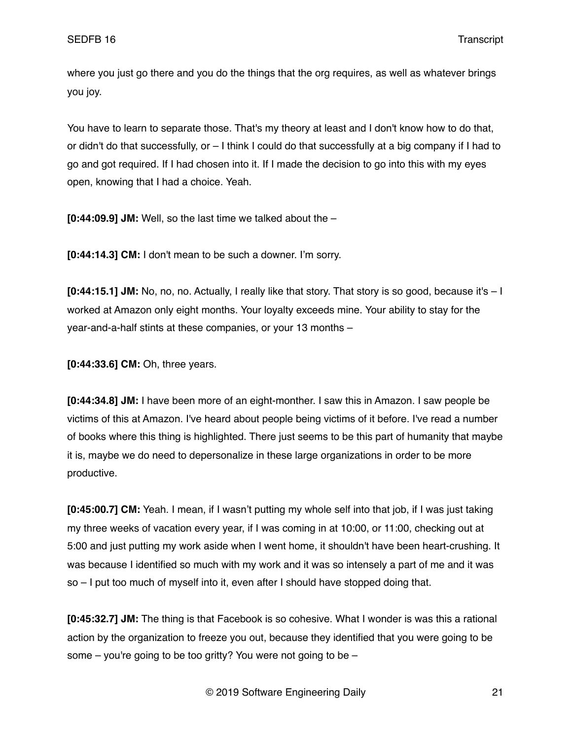where you just go there and you do the things that the org requires, as well as whatever brings you joy.

You have to learn to separate those. That's my theory at least and I don't know how to do that, or didn't do that successfully, or – I think I could do that successfully at a big company if I had to go and got required. If I had chosen into it. If I made the decision to go into this with my eyes open, knowing that I had a choice. Yeah.

**[0:44:09.9] JM:** Well, so the last time we talked about the –

**[0:44:14.3] CM:** I don't mean to be such a downer. I'm sorry.

**[0:44:15.1] JM:** No, no, no. Actually, I really like that story. That story is so good, because it's – I worked at Amazon only eight months. Your loyalty exceeds mine. Your ability to stay for the year-and-a-half stints at these companies, or your 13 months –

**[0:44:33.6] CM:** Oh, three years.

**[0:44:34.8] JM:** I have been more of an eight-monther. I saw this in Amazon. I saw people be victims of this at Amazon. I've heard about people being victims of it before. I've read a number of books where this thing is highlighted. There just seems to be this part of humanity that maybe it is, maybe we do need to depersonalize in these large organizations in order to be more productive.

**[0:45:00.7] CM:** Yeah. I mean, if I wasn't putting my whole self into that job, if I was just taking my three weeks of vacation every year, if I was coming in at 10:00, or 11:00, checking out at 5:00 and just putting my work aside when I went home, it shouldn't have been heart-crushing. It was because I identified so much with my work and it was so intensely a part of me and it was so – I put too much of myself into it, even after I should have stopped doing that.

**[0:45:32.7] JM:** The thing is that Facebook is so cohesive. What I wonder is was this a rational action by the organization to freeze you out, because they identified that you were going to be some  $-$  you're going to be too gritty? You were not going to be  $-$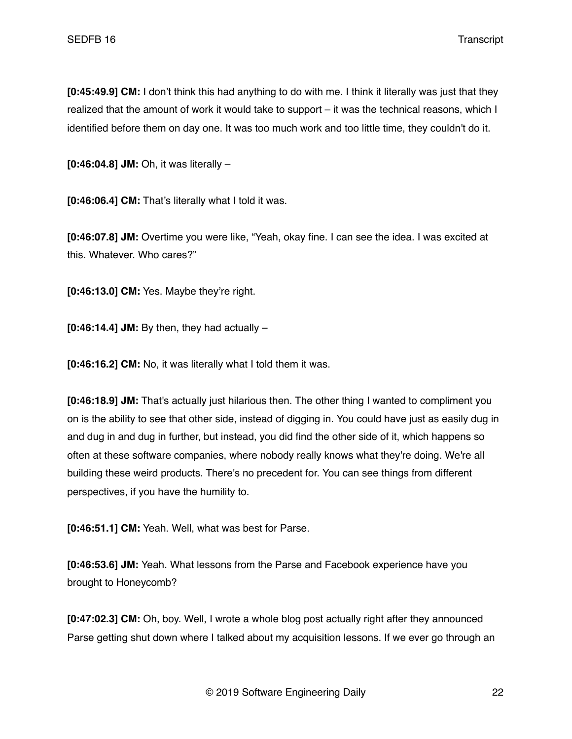**[0:45:49.9] CM:** I don't think this had anything to do with me. I think it literally was just that they realized that the amount of work it would take to support – it was the technical reasons, which I identified before them on day one. It was too much work and too little time, they couldn't do it.

**[0:46:04.8] JM:** Oh, it was literally –

**[0:46:06.4] CM:** That's literally what I told it was.

**[0:46:07.8] JM:** Overtime you were like, "Yeah, okay fine. I can see the idea. I was excited at this. Whatever. Who cares?"

**[0:46:13.0] CM:** Yes. Maybe they're right.

**[0:46:14.4] JM:** By then, they had actually –

**[0:46:16.2] CM:** No, it was literally what I told them it was.

**[0:46:18.9] JM:** That's actually just hilarious then. The other thing I wanted to compliment you on is the ability to see that other side, instead of digging in. You could have just as easily dug in and dug in and dug in further, but instead, you did find the other side of it, which happens so often at these software companies, where nobody really knows what they're doing. We're all building these weird products. There's no precedent for. You can see things from different perspectives, if you have the humility to.

**[0:46:51.1] CM:** Yeah. Well, what was best for Parse.

**[0:46:53.6] JM:** Yeah. What lessons from the Parse and Facebook experience have you brought to Honeycomb?

**[0:47:02.3] CM:** Oh, boy. Well, I wrote a whole blog post actually right after they announced Parse getting shut down where I talked about my acquisition lessons. If we ever go through an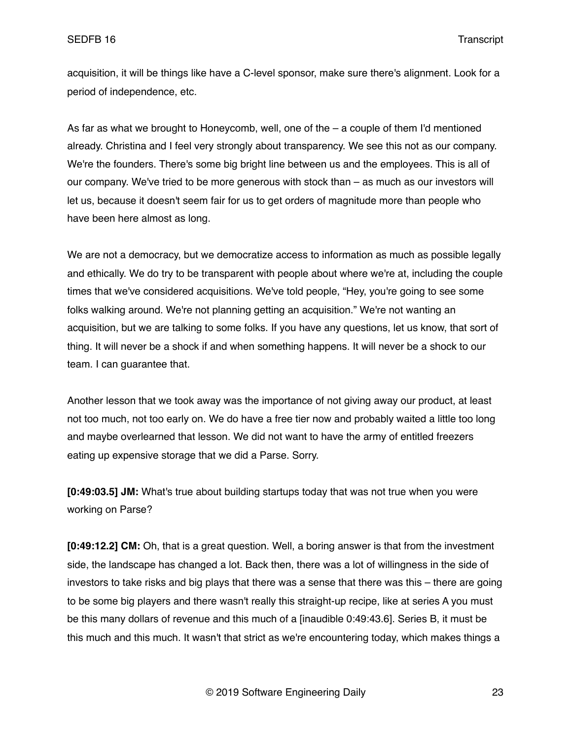acquisition, it will be things like have a C-level sponsor, make sure there's alignment. Look for a period of independence, etc.

As far as what we brought to Honeycomb, well, one of the – a couple of them I'd mentioned already. Christina and I feel very strongly about transparency. We see this not as our company. We're the founders. There's some big bright line between us and the employees. This is all of our company. We've tried to be more generous with stock than – as much as our investors will let us, because it doesn't seem fair for us to get orders of magnitude more than people who have been here almost as long.

We are not a democracy, but we democratize access to information as much as possible legally and ethically. We do try to be transparent with people about where we're at, including the couple times that we've considered acquisitions. We've told people, "Hey, you're going to see some folks walking around. We're not planning getting an acquisition." We're not wanting an acquisition, but we are talking to some folks. If you have any questions, let us know, that sort of thing. It will never be a shock if and when something happens. It will never be a shock to our team. I can guarantee that.

Another lesson that we took away was the importance of not giving away our product, at least not too much, not too early on. We do have a free tier now and probably waited a little too long and maybe overlearned that lesson. We did not want to have the army of entitled freezers eating up expensive storage that we did a Parse. Sorry.

**[0:49:03.5] JM:** What's true about building startups today that was not true when you were working on Parse?

**[0:49:12.2] CM:** Oh, that is a great question. Well, a boring answer is that from the investment side, the landscape has changed a lot. Back then, there was a lot of willingness in the side of investors to take risks and big plays that there was a sense that there was this – there are going to be some big players and there wasn't really this straight-up recipe, like at series A you must be this many dollars of revenue and this much of a [inaudible 0:49:43.6]. Series B, it must be this much and this much. It wasn't that strict as we're encountering today, which makes things a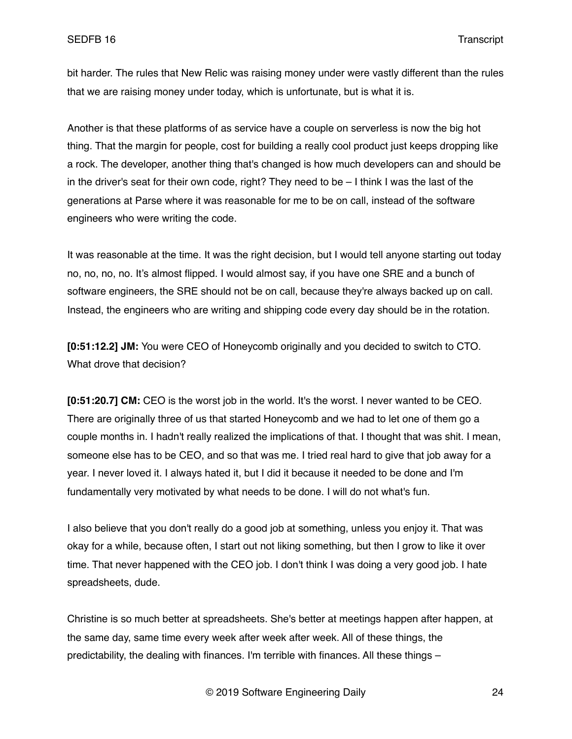bit harder. The rules that New Relic was raising money under were vastly different than the rules that we are raising money under today, which is unfortunate, but is what it is.

Another is that these platforms of as service have a couple on serverless is now the big hot thing. That the margin for people, cost for building a really cool product just keeps dropping like a rock. The developer, another thing that's changed is how much developers can and should be in the driver's seat for their own code, right? They need to be – I think I was the last of the generations at Parse where it was reasonable for me to be on call, instead of the software engineers who were writing the code.

It was reasonable at the time. It was the right decision, but I would tell anyone starting out today no, no, no, no. It's almost flipped. I would almost say, if you have one SRE and a bunch of software engineers, the SRE should not be on call, because they're always backed up on call. Instead, the engineers who are writing and shipping code every day should be in the rotation.

**[0:51:12.2] JM:** You were CEO of Honeycomb originally and you decided to switch to CTO. What drove that decision?

**[0:51:20.7] CM:** CEO is the worst job in the world. It's the worst. I never wanted to be CEO. There are originally three of us that started Honeycomb and we had to let one of them go a couple months in. I hadn't really realized the implications of that. I thought that was shit. I mean, someone else has to be CEO, and so that was me. I tried real hard to give that job away for a year. I never loved it. I always hated it, but I did it because it needed to be done and I'm fundamentally very motivated by what needs to be done. I will do not what's fun.

I also believe that you don't really do a good job at something, unless you enjoy it. That was okay for a while, because often, I start out not liking something, but then I grow to like it over time. That never happened with the CEO job. I don't think I was doing a very good job. I hate spreadsheets, dude.

Christine is so much better at spreadsheets. She's better at meetings happen after happen, at the same day, same time every week after week after week. All of these things, the predictability, the dealing with finances. I'm terrible with finances. All these things –

© 2019 Software Engineering Daily 24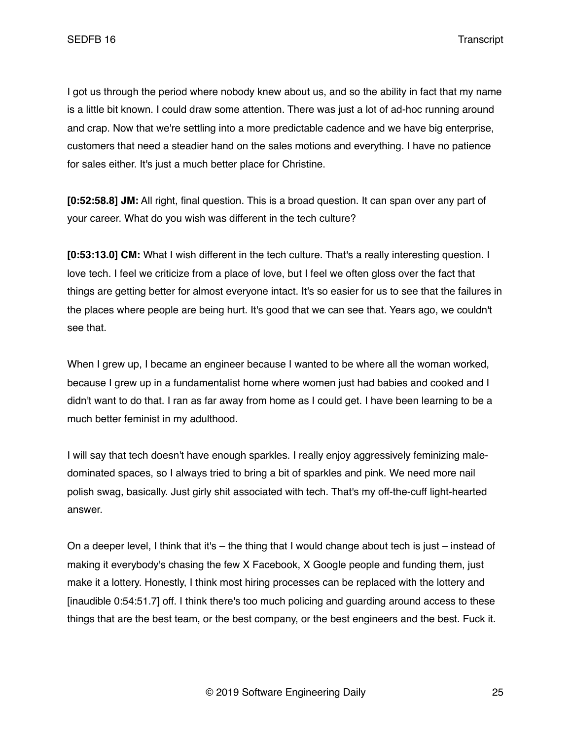I got us through the period where nobody knew about us, and so the ability in fact that my name is a little bit known. I could draw some attention. There was just a lot of ad-hoc running around and crap. Now that we're settling into a more predictable cadence and we have big enterprise, customers that need a steadier hand on the sales motions and everything. I have no patience for sales either. It's just a much better place for Christine.

**[0:52:58.8] JM:** All right, final question. This is a broad question. It can span over any part of your career. What do you wish was different in the tech culture?

**[0:53:13.0] CM:** What I wish different in the tech culture. That's a really interesting question. I love tech. I feel we criticize from a place of love, but I feel we often gloss over the fact that things are getting better for almost everyone intact. It's so easier for us to see that the failures in the places where people are being hurt. It's good that we can see that. Years ago, we couldn't see that.

When I grew up, I became an engineer because I wanted to be where all the woman worked, because I grew up in a fundamentalist home where women just had babies and cooked and I didn't want to do that. I ran as far away from home as I could get. I have been learning to be a much better feminist in my adulthood.

I will say that tech doesn't have enough sparkles. I really enjoy aggressively feminizing maledominated spaces, so I always tried to bring a bit of sparkles and pink. We need more nail polish swag, basically. Just girly shit associated with tech. That's my off-the-cuff light-hearted answer.

On a deeper level, I think that it's – the thing that I would change about tech is just – instead of making it everybody's chasing the few X Facebook, X Google people and funding them, just make it a lottery. Honestly, I think most hiring processes can be replaced with the lottery and [inaudible 0:54:51.7] off. I think there's too much policing and guarding around access to these things that are the best team, or the best company, or the best engineers and the best. Fuck it.